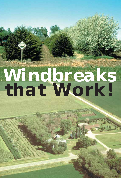# *Windbreaks that Work!*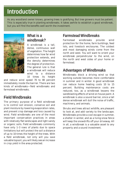# **Introduction**

As any woodland owner knows, growing trees is gratifying. But tree growers must be patient. This is especially true in planting windbreaks. It takes awhile to establish a good windbreak, but you will find the benefits well worth the investment.



# **What is a windbreak?**

A windbreak is a tall, dense, continuous wall of vegetation. The height determines how far wind protection extends, and the density determines the degree of protection. The general rule is that a windbreak will reduce wind to a distance 10 times its height

and reduce wind speed 70 to 80 percent immediately inside the barrier. There are two kinds of windbreaks—field windbreaks and farmstead windbreaks.

# **Field Windbreaks**

The primary purpose of a field windbreak is to control soil erosion, conserve soil and plant moisture by lowering evaporation rates, and prevent crop damage and loss caused by wind. Field windbreaks are one of the most important conservation practices in areas with relatively flat landscapes and light sandy or organic soils. Field windbreaks commonly have only 1–3 rows of plants due to space limitations but will protect the soil a distance of up to 10 times the height of the trees. With a field windbreak, not only will you save valuable topsoil, you will likely see an increase in crop yield in the area protected.

# **Farmstead Windbreaks**

Farmstead windbreaks provide wind protection for the home, farm buildings, feed lots, and livestock enclosures. The coldest and most damaging winds come from the north and west. You will want to orient your windbreak perpendicular to the wind, on the north and west sides of your home or farmstead.

# **Advantages of Windbreaks**

Windbreaks block a driving wind so that working outside becomes more comfortable in summer and in winter. A good windbreak can reduce home heating costs 10 to 15 percent. Building maintenance costs are reduced, too, as a windbreak lessens the sandblasting effects of wind on house paint. A windbreak is also a sound barrier, since a tall dense windbreak will dull the noise of traffic. machinery, and animals.

Shrubs and trees attract wildlife, are pleasant to look at, and add variety to the landscape. Windbreaks provide a cool escape in summer, a shelter in winter, and as a living snow fence will keep the snowdrifts off your driveway. All in all, a windbreak is a valuable asset to any property and a sound investment.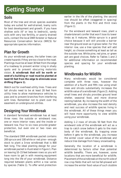# **Getting Started**

# **Soils**

Most of the tree and shrub species available today are suited for well-drained, loamy soils for best development and growth. If you have shallow soils (6" or less to bedrock), sandy soils with very low fertility, or poorly drained soils, contact the local DNR forester or Natural Resources Conservation Service (NRCS) for appropriate species information.

# **Plan for Growth**

As your windbreak grows, the taller trees can create hazards if they are too close to the road. Plantings must be at least 30 feet from the edge of a roadway to prevent winter icing in shady spots and to prevent obscuring motorists vision. **A windbreak that will be north or west of a building or road must be planted at least 65 feet from the edge to eliminate snow drifting (Figure 1).**

Watch out for overhead utility lines. Trees and tall shrubs need to be at least 20 feet from utility lines to allow maintenance vehicles to pass and to prevent branches from interfering with lines. Remember not to plant over the easement on underground utilities.

# **Designing Your Windbreak**

A standard farmstead windbreak has at least three rows: the outside or windward row; one or more interior rows; and the inside or leeward row. Four to six rows provide greater protection, but even one or two rows are **beneficial** 

The standard DNR windbreak packet contains 200 spruce and 100 white or red pine—enough stock to plant a 3-row windbreak that is 800 feet long. The ideal planting design for your windbreak packet is illustrated in Figure 1. Plan on leaving 10–15 feet between rows so you will have room to get in with mowing equipment long into the life of your windbreak. Distance required between plants within a row varies by species (Table 1). To offer wind protection earlier in the life of the planting, the second row should be offset (staggered in spacing) from the plants in the first and third rows (Figure 1).

For the windward and leeward rows, plant a shade-tolerant conifer that won't lose its lower limbs as it matures. White spruce is a good choice because it will still provide a barrier near the ground even as it grows taller. For the interior row, use a tree species that will add height, so choose something at least as tall as the outside row. White pine, red pine, or green ash are good choices. Refer to Tables 1 and 2 for additional information on recommended species and spacing for your windbreak planting.

# **Windbreaks for Wildlife**

Many windbreaks would be considered complete with three rows, however the addition of a fourth and fifth row using small trees and shrubs substantially increases the wildlife value of a windbreak (Figure 2). Adding small trees and shrubs provides ground level shelter, seasonal food, and more diverse nesting habitat. By increasing the width of the windbreak, you also increase the nest density and nest success of wildlife species living in the windbreak. All of these things mean you will have more opportunity to view wildlife using your windbreak.

Adding 1–2 rows of shrubs 50 feet from the windward side of the windbreak will act as a trap to catch snow before it gets to the main body of the windbreak. By trapping snow before it gets to the windbreak, you increase the winter cover value of the windbreak and reduce tree damage from heavy snowloading.

Generally the location of a windbreak is determined by factors other than potential wildlife benefits. There are, however, some locations that are more beneficial for wildlife Placement of the windbreak on the north side of row crop fields that will not be fall-plowed will increase the winter food value of such stubble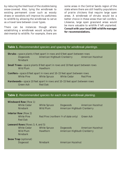by reducing the likelihood of the stubble being snow-covered. Also, tying the windbreak to existing permanent cover such as woody draws or woodlots will improve its usefulness to wildlife by allowing the windbreak to serve as a travel lane between cover types.

There can be instances though where establishing a windbreak would actually be detrimental to wildlife. For example, there are some areas in the Central Sands region of the state where there are still healthy populations of prairie chickens that require large open areas. A windbreak of shrubs would be a better choice in these areas than tall conifers. Likewise, large open grassland areas would be more valuable to wildlife if left unplanted. **Consult with your local DNR wildlife manager for recommendations.**

| Table 1. Recommended species and spacing for windbreak plantings.                                                    |                                         |                                                               |                          |
|----------------------------------------------------------------------------------------------------------------------|-----------------------------------------|---------------------------------------------------------------|--------------------------|
| <b>Shrubs</b> —space plants 4 feet apart in rows and 6 feet apart between rows<br><b>Dogwoods</b><br><b>Ninebark</b> | American Highbush Cranberry             |                                                               | <b>American Hazelnut</b> |
| <b>Small Trees</b> —space plants 8 feet apart in rows and 10 feet apart between rows<br><b>Wild Plum</b>             | <b>Hawthorn</b>                         |                                                               |                          |
| <b>Conifers</b> -space 8 feet apart in rows and 10-15 feet apart between rows<br><b>White Pine</b>                   | <b>White Spruce</b>                     | <b>White Cedar</b>                                            | <b>Red Pine</b>          |
| <b>Hardwoods</b> —space 10 feet apart in rows and 10–15 feet apart between rows<br><b>Green Ash</b>                  | <b>Red Oak</b>                          |                                                               |                          |
|                                                                                                                      |                                         |                                                               |                          |
| Table 2. Recommended species for each row in windbreak planting.                                                     |                                         |                                                               |                          |
| <b>Windward Row (Row 1)</b>                                                                                          |                                         |                                                               |                          |
| <b>White Cedar</b><br><b>Ninebark</b>                                                                                | <b>White Spruce</b><br><b>Wild Plum</b> | <i>Dogwoods</i><br>American Highbush Cranberry                | <b>American Hazelnut</b> |
| <b>Interior Row</b> (Row 2)<br><b>White Pine</b><br><b>Red Oak</b>                                                   |                                         | Red Pine (northern <sup>2</sup> / <sub>3</sub> of state only) | <b>Green Ash</b>         |
| Leeward Rows (Rows 3, 4, and 5)<br><b>White Cedar</b><br><b>Wild Plum</b><br><b>Ninebark</b>                         | <b>White Spruce</b><br><b>Hawthorn</b>  | <b>Dogwoods</b><br>American Highbush Cranberry                | <b>American Hazelnut</b> |
|                                                                                                                      |                                         |                                                               |                          |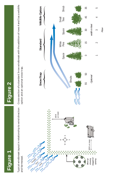# Figure 1

# Figure 2 **Figure 1 Figure 2**

Typical windbreak layout in relationship to wind direction Typical windbreak layout in relationship to wind direction and farmstead. and farmstead.

Cross-section of a standard 3-row windbreak with the addition of rows 4 and 5 as a wildlife Cross-section of a standard 3-row windbreak with the addition of rows 4 and 5 as a wildlife option and an optional snow trap. option and an optional snow trap.

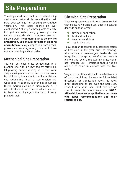# **Site Preparation**

The single most important part of establishing a windbreak that works is protecting the small bare-root seedlings from existing, competitive vegetation. This factor cannot be over emphasized. Not only do these plants compete for light and water, many grasses produce natural chemicals which suppress tree and shrub growth. **If you don't plan to do any site preparation, you should not bother planting a windbreak.** Heavy competition from weeds, grasses, and existing woody cover will choke out your planting in short order.

# **Mechanical Site Preparation**

You can set back grass competition in a planting site with a heavy sod by rototilling, fall-plowing and/or discing in 6 foot wide strips leaving undisturbed sod between rows. By minimizing the amount of soil you disturb, you reduce the threat of soil erosion and weed seed invasion by such things as Canada thistle. Spring plowing is discouraged as it will introduce air into the soil which can lead to desiccation (drying) of the roots of newly planted stock.

# **Chemical Site Preparation**

Weedy or grassy competition can be controlled with selective herbicide use. Effective control depends on four factors:

- $\triangleq$  timing of application
- $\triangleq$  herbicide selected
- $\triangleleft$  weather conditions
- $\triangleq$  application rate

Heavy sod can be controlled by a fall application of herbicide in the year prior to planting. Alternatively, a pre-emergent herbicide can be applied in the spring just after the trees are planted and before the existing grass cover has "greened up." Herbicides should not be allowed to come in contact with the tree roots.

Very dry conditions will limit the effectiveness of most herbicides. Be sure to follow label directions for application rates, as rates differ depending on soil type and herbicide. Consult with your local DNR forester for specific herbicide recommendations. **NOTE: All herbicides must be applied in accordance with label recommendations and their registered use.**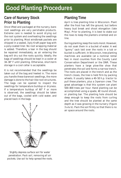# **Good Planting Procedures**

# **Care of Nursery Stock Prior to Planting**

Once lifted and packaged at the nursery, bareroot seedlings are very perishable products. Extreme care is needed to avoid drying out the root system and overheating the seedlings prior to planting. Most windbreak packets are shipped in a sealed, 3-ply Kraft paper bag with a poly-coated liner. No root wrapping material is added. Therefore, a tear in the bag should be repaired immediately, as air entering the bag will dry out the roots quickly. Ideally, the bags of seedlings should be kept in a cooler at 34–38° F until planting. Otherwise, short-term storage in a cool cellar is acceptable.

It is not recommended that the seedlings be taken out of the bag and heeled in. The more you handle these bareroot seedlings, the more damage is done to the hair-like root structures. The bags can be opened to inspect the seedlings for temperature buildup or dryness. If a temperature buildup of 60° F or more is observed, the seedlings should be taken out of the bags, cooled with cold water, and placed back in the bags.



*Slightly depress surface soil for water penetration. Pack soil, removing all air pockets. Use soil to help spread the roots.*

# **Planting Time**

April is tree planting time in Wisconsin. Plant after the frost has left the ground, but before heavy bud break and shoot elongation (late May). Prior to planting, it is best to stake out the rows to keep the planters oriented and on line.

During planting, keep the roots moist. However, do not soak them in a bucket of water. A wet "gunny" sack laid over the roots in a tub or bucket is sufficient. In Wisconsin, tree planting machines are available (at a nominal rental fee) in most counties from the County Land Conservation Department or the DNR. These planters have a large plow-like shoe that penetrates the soil and forms a narrow trench. The roots are placed in the trench and as the trench closes, the tree is held firm by packing wheels. It usually takes a 40–50 h.p. tractor to pull these planters, plus a 3-person crew. The great advantage is that this system can plant 500–800 trees per hour. Hand planting can be accomplished using a spade, #2 round shovel, or planting bar. The planting hole should be deep enough to keep the roots from curling and the tree should be planted at the same depth as it was growing in the nursery (Figure 3 a & b). Pack the soil firmly so that there is no air space around the roots.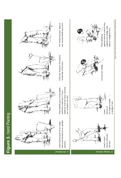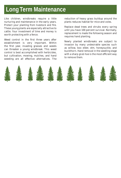# **Long Term Maintenance**

Like children, windbreaks require a little nurturing and maintenance in the early years. Protect your planting from livestock and fire. These young plants are especially attractive to cattle. Your investment of time and money is worth protecting with a fence.

Weed control in the first three years after establishment is very important. Within the first year, invading grasses and weeds can threaten a young windbreak. This weed control is best accomplished with herbicides, but cultivation, mowing, mulches, and hand weeding are all effective alternatives. The

reduction of heavy grass buildup around the plants reduces habitat for mice and voles.

Replace dead trees and shrubs every spring until you have 100 percent survival. Normally, replacement is made the following season and requires hand planting.

Newly planted windbreaks are subject to invasion by many undesirable species such as willow, box elder, elm, honeysuckle, and buckthorn. Hand removal in the seedling stage with a sharp grub hoe is the most efficient way to remove them.

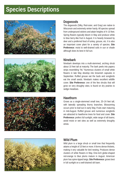# **Species Descriptions**







# **Dogwoods**

The dogwoods (Silky, Red-osier, and Gray) are native to Wisconsin and extremely winter hardy. All species spread from underground stolons and attain heights of 4–10 feet. Spring flowers typically bloom in May and produce white to blue berry-like fruit in August. It is heavily browsed by deer and a preferred food of turkey, grouse, etc. It is also an important cover plant for a variety of species. **Site Preference:** moist to well-drained soils in sun or shade although does its best in full sun.

### **Ninebark**

Ninebark develops into a multi-stemmed, arching shrub about 10 feet tall at maturity. The bark peels into papery strips resembling "9s." Numerous clusters of small white flowers in late May develop into brownish capsules in September. Ruffed grouse eat the buds and songbirds eat the small seeds. Ninebark makes excellent wildlife cover. **Site Preference:** one of the few shrubs that will grow on very droughty sites; is found on dry prairies to sedge meadows.

### **Hawthorn**

Grows as a single-stemmed small tree, 20–24 feet tall, with laterally spreading thorny branches. Blossoming occurs prior to leaf-out in early May. Fruits start maturing in mid-August. Ruffed grouse and numerous songbirds are attracted to hawthorne trees for food and cover. **Site Preference:** prefers full sunlight, wide range of silt loams; avoid moist or wet sites as well as extremely droughty areas.



### **Wild Plum**

Wild plum is a large shrub or small tree that frequently attains a height of 15 feet or more. It forms dense thickets, making it very valuable for bird nesting. Produces dense clusters of white flowers in May. One-inch globe-shaped red-orange to blue plums mature in August. American plum has spine-tipped twigs. **Site Preference:** grows best in full sunlight on a well-drained silt loam.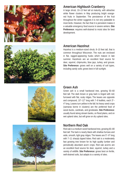







## **American Highbush Cranberry**

A large shrub, 10–13 feet tall at maturity, with attractive white flower clusters in May producing bright orangered fruits in September. The persistence of the fruit throughout the winter suggests it is not very palatable to most birds. However, the fact that it is persistent makes it a valuable emergency food source in severe winters. **Site Preference:** requires well-drained to moist sites for best development.

### **American Hazelnut**

Hazelnut is a medium-sized shrub, 8–10 feet tall, that is common throughout Wisconsin. The nuts are enclosed in flat, ragged-appearing husks which mature in late summer. Hazelnuts are an excellent food source for deer, squirrel, chipmunks, blue jays, turkey, and grouse. **Site Preference:** grows well on a variety of soil types, including sandy soils; grows best in full sunlight.

### **Green Ash**

Green ash is a small hardwood tree, growing 50–60 feet tall. The dark brown or gray bark is tinged with red; furrowed with flat, scaly ridges. The leaves are opposite and compound,  $10"$ – $12"$  long with  $7-9$  leaflets, each  $3"$ – 4" long. Leaves turn yellow in the fall. Its heavy seed crops (samaras borne in clusters) are the preferred food of wood ducks, cardinals, and grosbeaks. **Site Preference:** usually found along stream banks, on flood plains, and on wet upland sites, but will grow on dry upland sites.

### **Northern Red Oak**

Red oak is a medium sized hardwood tree, growing 60–80 feet tall. The bark is nearly black with shallow furrows and wide, smooth, light gray ridges. The leaves are 5"–9" long with 7–11 sharply tipped lobes. Red oak is a moderately fast growing tree known for its high quality lumber and periodically abundant acorn crops. Red oak acorns are an excellent food source for deer, squirrel, turkey and a variety of wildlife. **Site Preference:** grows best on fertile, well-drained soils, but adapts to a variety of sites.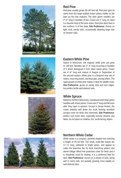

# Red pine usually grows 60–80 feet tall. Red pine gets its

**Red Pine**

name from the large reddish brown plates visible on the bark as the tree matures. The dark green needles are 4"–6" long in bundles of two. Cones are 2" long. Its seed is a favorite food of the pine siskin. Red pine does best in the northern ²⁄³ of the state. **Site Preference:** thrives on light, acid, sandy soils, occasionally attaining large size on heavier soils.

# **Eastern White Pine**

Native to Wisconsin, the majestic white pine can grow to 100 feet. Needles are 3"–5" long occurring in bundles of 5 which distinguish it from other native pines. Cones are 4"–6" long and mature in August or September of the second season. White pine is a frequent nest site of robins, mourning doves, and blue jays, among others. The rapid growth of white pine makes it ideal for wildlife cover. **Site Preference:** grows on sandy soils and rock ridges, but prefers fertile well-drained soils.

## **White Spruce**

Native to northern Wisconsin, it produces short blue-green needles with sharp points. Cones are 2" long and fall soon after they ripen in autumn. Except in dense forests, the crown extends well down the trunk forming excellent escape cover for birds and mammals. **Site Preference:** prefers cool moist sites, especially around streams and lakes; do not plant on shallow, hot, south-facing slopes.

# **Northern White Cedar**

White cedar is a compact, pyramid shaped tree reaching a height of 40–50 feet. The small, scale-like leaves are  $\frac{1}{8}$ "- $\frac{1}{4}$ " long, yellowish to bright green, and appear to make the branches flat. Its thick branching pattern and dense foliage afford fine protective cover for birds and it is frequently used for nesting. It is a preferred food for deer. **Site Preference:** occurs on a variety of soils, doing well in moist soils, but actually growing more rapidly on well-drained sites.